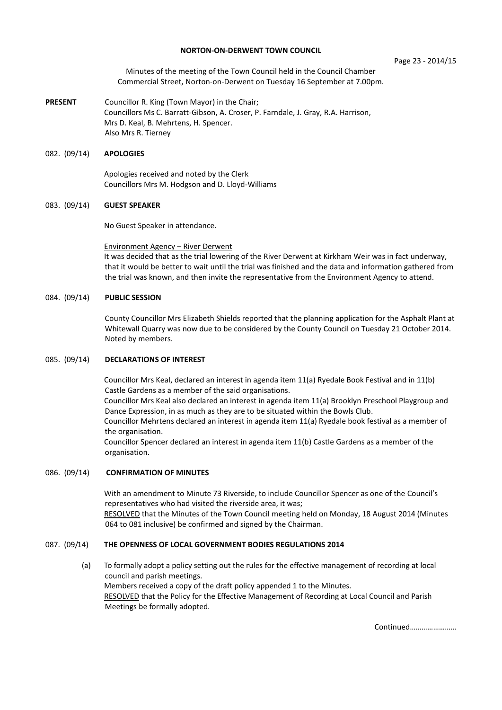### **NORTON-ON-DERWENT TOWN COUNCIL**

### Page 23 - 2014/15

Minutes of the meeting of the Town Council held in the Council Chamber Commercial Street, Norton-on-Derwent on Tuesday 16 September at 7.00pm.

**PRESENT** Councillor R. King (Town Mayor) in the Chair; Councillors Ms C. Barratt-Gibson, A. Croser, P. Farndale, J. Gray, R.A. Harrison, Mrs D. Keal, B. Mehrtens, H. Spencer. Also Mrs R. Tierney

## 082. (09/14) **APOLOGIES**

 Apologies received and noted by the Clerk Councillors Mrs M. Hodgson and D. Lloyd-Williams

### 083. (09/14) **GUEST SPEAKER**

No Guest Speaker in attendance.

### Environment Agency – River Derwent

It was decided that as the trial lowering of the River Derwent at Kirkham Weir was in fact underway, that it would be better to wait until the trial was finished and the data and information gathered from the trial was known, and then invite the representative from the Environment Agency to attend.

## 084. (09/14) **PUBLIC SESSION**

County Councillor Mrs Elizabeth Shields reported that the planning application for the Asphalt Plant at Whitewall Quarry was now due to be considered by the County Council on Tuesday 21 October 2014. Noted by members.

### 085. (09/14) **DECLARATIONS OF INTEREST**

 Councillor Mrs Keal, declared an interest in agenda item 11(a) Ryedale Book Festival and in 11(b) Castle Gardens as a member of the said organisations.

Councillor Mrs Keal also declared an interest in agenda item 11(a) Brooklyn Preschool Playgroup and Dance Expression, in as much as they are to be situated within the Bowls Club.

Councillor Mehrtens declared an interest in agenda item 11(a) Ryedale book festival as a member of the organisation.

Councillor Spencer declared an interest in agenda item 11(b) Castle Gardens as a member of the organisation.

# 086. (09/14) **CONFIRMATION OF MINUTES**

With an amendment to Minute 73 Riverside, to include Councillor Spencer as one of the Council's representatives who had visited the riverside area, it was;

RESOLVED that the Minutes of the Town Council meeting held on Monday, 18 August 2014 (Minutes 064 to 081 inclusive) be confirmed and signed by the Chairman.

# 087. (09/14) **THE OPENNESS OF LOCAL GOVERNMENT BODIES REGULATIONS 2014**

 (a) To formally adopt a policy setting out the rules for the effective management of recording at local council and parish meetings. Members received a copy of the draft policy appended 1 to the Minutes. RESOLVED that the Policy for the Effective Management of Recording at Local Council and Parish Meetings be formally adopted.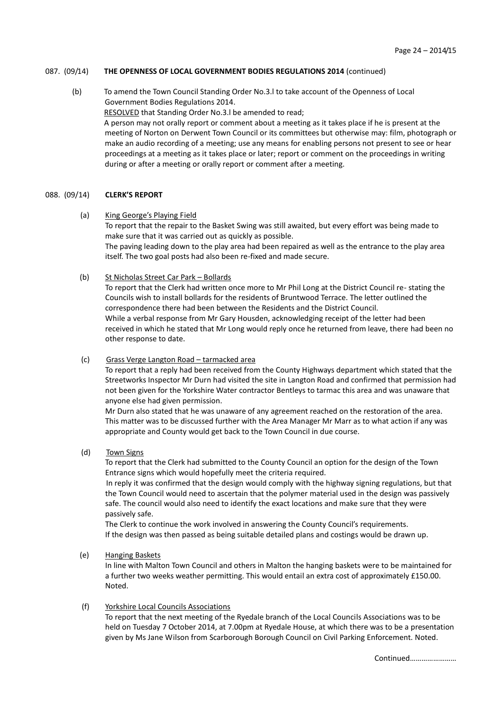# 087. (09/14) **THE OPENNESS OF LOCAL GOVERNMENT BODIES REGULATIONS 2014** (continued)

 (b) To amend the Town Council Standing Order No.3.l to take account of the Openness of Local Government Bodies Regulations 2014. RESOLVED that Standing Order No.3.l be amended to read; A person may not orally report or comment about a meeting as it takes place if he is present at the meeting of Norton on Derwent Town Council or its committees but otherwise may: film, photograph or make an audio recording of a meeting; use any means for enabling persons not present to see or hear proceedings at a meeting as it takes place or later; report or comment on the proceedings in writing during or after a meeting or orally report or comment after a meeting.

### 088. (09/14) **CLERK'S REPORT**

 (a) King George's Playing Field To report that the repair to the Basket Swing was still awaited, but every effort was being made to make sure that it was carried out as quickly as possible. The paving leading down to the play area had been repaired as well as the entrance to the play area itself. The two goal posts had also been re-fixed and made secure.

### (b) St Nicholas Street Car Park – Bollards

To report that the Clerk had written once more to Mr Phil Long at the District Council re- stating the Councils wish to install bollards for the residents of Bruntwood Terrace. The letter outlined the correspondence there had been between the Residents and the District Council. While a verbal response from Mr Gary Housden, acknowledging receipt of the letter had been received in which he stated that Mr Long would reply once he returned from leave, there had been no other response to date.

### (c) Grass Verge Langton Road – tarmacked area

To report that a reply had been received from the County Highways department which stated that the Streetworks Inspector Mr Durn had visited the site in Langton Road and confirmed that permission had not been given for the Yorkshire Water contractor Bentleys to tarmac this area and was unaware that anyone else had given permission.

Mr Durn also stated that he was unaware of any agreement reached on the restoration of the area. This matter was to be discussed further with the Area Manager Mr Marr as to what action if any was appropriate and County would get back to the Town Council in due course.

(d) Town Signs

To report that the Clerk had submitted to the County Council an option for the design of the Town Entrance signs which would hopefully meet the criteria required.

In reply it was confirmed that the design would comply with the highway signing regulations, but that the Town Council would need to ascertain that the polymer material used in the design was passively safe. The council would also need to identify the exact locations and make sure that they were passively safe.

The Clerk to continue the work involved in answering the County Council's requirements. If the design was then passed as being suitable detailed plans and costings would be drawn up.

(e) Hanging Baskets

In line with Malton Town Council and others in Malton the hanging baskets were to be maintained for a further two weeks weather permitting. This would entail an extra cost of approximately £150.00. Noted.

(f) Yorkshire Local Councils Associations

To report that the next meeting of the Ryedale branch of the Local Councils Associations was to be held on Tuesday 7 October 2014, at 7.00pm at Ryedale House, at which there was to be a presentation given by Ms Jane Wilson from Scarborough Borough Council on Civil Parking Enforcement. Noted.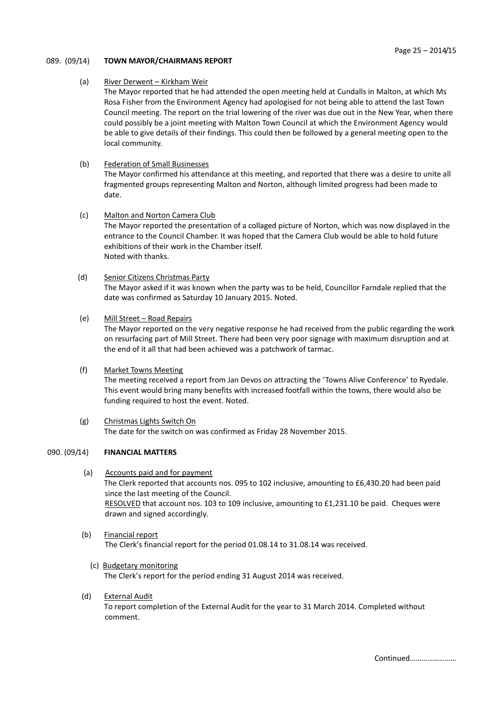## 089. (09/14) **TOWN MAYOR/CHAIRMANS REPORT**

# (a) River Derwent – Kirkham Weir

The Mayor reported that he had attended the open meeting held at Cundalls in Malton, at which Ms Rosa Fisher from the Environment Agency had apologised for not being able to attend the last Town Council meeting. The report on the trial lowering of the river was due out in the New Year, when there could possibly be a joint meeting with Malton Town Council at which the Environment Agency would be able to give details of their findings. This could then be followed by a general meeting open to the local community.

## (b) Federation of Small Businesses

The Mayor confirmed his attendance at this meeting, and reported that there was a desire to unite all fragmented groups representing Malton and Norton, although limited progress had been made to date.

## (c) Malton and Norton Camera Club

The Mayor reported the presentation of a collaged picture of Norton, which was now displayed in the entrance to the Council Chamber. It was hoped that the Camera Club would be able to hold future exhibitions of their work in the Chamber itself. Noted with thanks.

# (d) Senior Citizens Christmas Party

The Mayor asked if it was known when the party was to be held, Councillor Farndale replied that the date was confirmed as Saturday 10 January 2015. Noted.

## (e) Mill Street – Road Repairs

The Mayor reported on the very negative response he had received from the public regarding the work on resurfacing part of Mill Street. There had been very poor signage with maximum disruption and at the end of it all that had been achieved was a patchwork of tarmac.

# (f) Market Towns Meeting

The meeting received a report from Jan Devos on attracting the 'Towns Alive Conference' to Ryedale. This event would bring many benefits with increased footfall within the towns, there would also be funding required to host the event. Noted.

 (g) Christmas Lights Switch On The date for the switch on was confirmed as Friday 28 November 2015.

# 090. (09/14) **FINANCIAL MATTERS**

- (a) Accounts paid and for payment The Clerk reported that accounts nos. 095 to 102 inclusive, amounting to £6,430.20 had been paid since the last meeting of the Council. RESOLVED that account nos. 103 to 109 inclusive, amounting to £1,231.10 be paid. Cheques were drawn and signed accordingly.
- (b) Financial report The Clerk's financial report for the period 01.08.14 to 31.08.14 was received.
- (c) Budgetary monitoring The Clerk's report for the period ending 31 August 2014 was received.
- (d) External Audit

To report completion of the External Audit for the year to 31 March 2014. Completed without comment.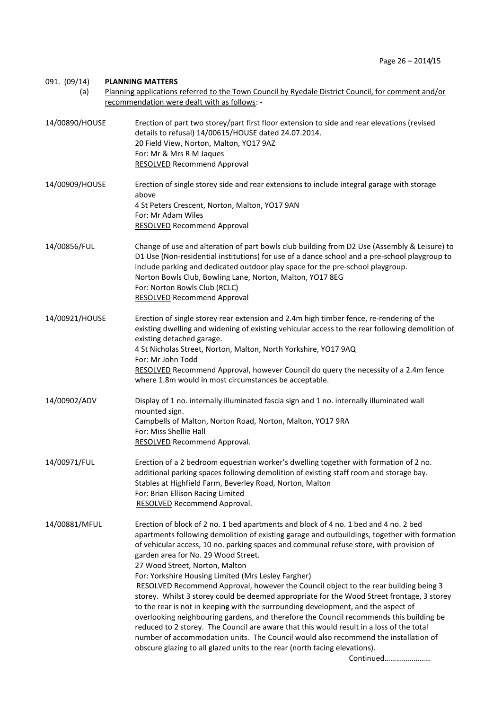# 091. (09/14) **PLANNING MATTERS**

 (a) Planning applications referred to the Town Council by Ryedale District Council, for comment and/or recommendation were dealt with as follows: -

| 14/00890/HOUSE | Erection of part two storey/part first floor extension to side and rear elevations (revised<br>details to refusal) 14/00615/HOUSE dated 24.07.2014.<br>20 Field View, Norton, Malton, YO17 9AZ<br>For: Mr & Mrs R M Jaques<br><b>RESOLVED Recommend Approval</b>                                                                                                                                                                                                                                                                                                                                                                                                                                                                                                                                                                                                                                                                                                                                                                                                    |  |
|----------------|---------------------------------------------------------------------------------------------------------------------------------------------------------------------------------------------------------------------------------------------------------------------------------------------------------------------------------------------------------------------------------------------------------------------------------------------------------------------------------------------------------------------------------------------------------------------------------------------------------------------------------------------------------------------------------------------------------------------------------------------------------------------------------------------------------------------------------------------------------------------------------------------------------------------------------------------------------------------------------------------------------------------------------------------------------------------|--|
| 14/00909/HOUSE | Erection of single storey side and rear extensions to include integral garage with storage<br>above<br>4 St Peters Crescent, Norton, Malton, YO17 9AN<br>For: Mr Adam Wiles<br><b>RESOLVED Recommend Approval</b>                                                                                                                                                                                                                                                                                                                                                                                                                                                                                                                                                                                                                                                                                                                                                                                                                                                   |  |
| 14/00856/FUL   | Change of use and alteration of part bowls club building from D2 Use (Assembly & Leisure) to<br>D1 Use (Non-residential institutions) for use of a dance school and a pre-school playgroup to<br>include parking and dedicated outdoor play space for the pre-school playgroup.<br>Norton Bowls Club, Bowling Lane, Norton, Malton, YO17 8EG<br>For: Norton Bowls Club (RCLC)<br><b>RESOLVED Recommend Approval</b>                                                                                                                                                                                                                                                                                                                                                                                                                                                                                                                                                                                                                                                 |  |
| 14/00921/HOUSE | Erection of single storey rear extension and 2.4m high timber fence, re-rendering of the<br>existing dwelling and widening of existing vehicular access to the rear following demolition of<br>existing detached garage.<br>4 St Nicholas Street, Norton, Malton, North Yorkshire, YO17 9AQ<br>For: Mr John Todd<br>RESOLVED Recommend Approval, however Council do query the necessity of a 2.4m fence<br>where 1.8m would in most circumstances be acceptable.                                                                                                                                                                                                                                                                                                                                                                                                                                                                                                                                                                                                    |  |
| 14/00902/ADV   | Display of 1 no. internally illuminated fascia sign and 1 no. internally illuminated wall<br>mounted sign.<br>Campbells of Malton, Norton Road, Norton, Malton, YO17 9RA<br>For: Miss Shellie Hall<br>RESOLVED Recommend Approval.                                                                                                                                                                                                                                                                                                                                                                                                                                                                                                                                                                                                                                                                                                                                                                                                                                  |  |
| 14/00971/FUL   | Erection of a 2 bedroom equestrian worker's dwelling together with formation of 2 no.<br>additional parking spaces following demolition of existing staff room and storage bay.<br>Stables at Highfield Farm, Beverley Road, Norton, Malton<br>For: Brian Ellison Racing Limited<br><b>RESOLVED Recommend Approval.</b>                                                                                                                                                                                                                                                                                                                                                                                                                                                                                                                                                                                                                                                                                                                                             |  |
| 14/00881/MFUL  | Erection of block of 2 no. 1 bed apartments and block of 4 no. 1 bed and 4 no. 2 bed<br>apartments following demolition of existing garage and outbuildings, together with formation<br>of vehicular access, 10 no. parking spaces and communal refuse store, with provision of<br>garden area for No. 29 Wood Street.<br>27 Wood Street, Norton, Malton<br>For: Yorkshire Housing Limited (Mrs Lesley Fargher)<br>RESOLVED Recommend Approval, however the Council object to the rear building being 3<br>storey. Whilst 3 storey could be deemed appropriate for the Wood Street frontage, 3 storey<br>to the rear is not in keeping with the surrounding development, and the aspect of<br>overlooking neighbouring gardens, and therefore the Council recommends this building be<br>reduced to 2 storey. The Council are aware that this would result in a loss of the total<br>number of accommodation units. The Council would also recommend the installation of<br>obscure glazing to all glazed units to the rear (north facing elevations).<br>Continued |  |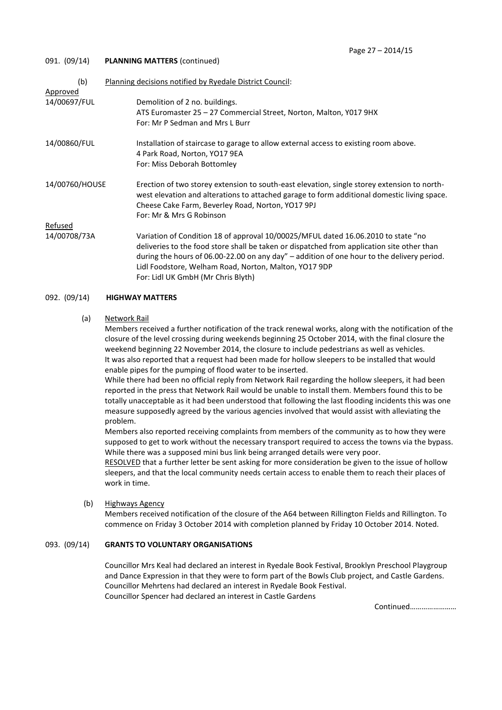## 091. (09/14) **PLANNING MATTERS** (continued)

| (b)                      | Planning decisions notified by Ryedale District Council:                                                                                                                                                                                                                                                                                                                     |
|--------------------------|------------------------------------------------------------------------------------------------------------------------------------------------------------------------------------------------------------------------------------------------------------------------------------------------------------------------------------------------------------------------------|
| Approved<br>14/00697/FUL | Demolition of 2 no. buildings.<br>ATS Euromaster 25 - 27 Commercial Street, Norton, Malton, Y017 9HX<br>For: Mr P Sedman and Mrs L Burr                                                                                                                                                                                                                                      |
| 14/00860/FUL             | Installation of staircase to garage to allow external access to existing room above.<br>4 Park Road, Norton, YO17 9EA<br>For: Miss Deborah Bottomley                                                                                                                                                                                                                         |
| 14/00760/HOUSE           | Erection of two storey extension to south-east elevation, single storey extension to north-<br>west elevation and alterations to attached garage to form additional domestic living space.<br>Cheese Cake Farm, Beverley Road, Norton, YO17 9PJ<br>For: Mr & Mrs G Robinson                                                                                                  |
| Refused                  |                                                                                                                                                                                                                                                                                                                                                                              |
| 14/00708/73A             | Variation of Condition 18 of approval 10/00025/MFUL dated 16.06.2010 to state "no<br>deliveries to the food store shall be taken or dispatched from application site other than<br>during the hours of 06.00-22.00 on any day" – addition of one hour to the delivery period.<br>Lidl Foodstore, Welham Road, Norton, Malton, YO17 9DP<br>For: Lidl UK GmbH (Mr Chris Blyth) |

## 092. (09/14) **HIGHWAY MATTERS**

### (a) Network Rail

Members received a further notification of the track renewal works, along with the notification of the closure of the level crossing during weekends beginning 25 October 2014, with the final closure the weekend beginning 22 November 2014, the closure to include pedestrians as well as vehicles. It was also reported that a request had been made for hollow sleepers to be installed that would enable pipes for the pumping of flood water to be inserted.

While there had been no official reply from Network Rail regarding the hollow sleepers, it had been reported in the press that Network Rail would be unable to install them. Members found this to be totally unacceptable as it had been understood that following the last flooding incidents this was one measure supposedly agreed by the various agencies involved that would assist with alleviating the problem.

Members also reported receiving complaints from members of the community as to how they were supposed to get to work without the necessary transport required to access the towns via the bypass. While there was a supposed mini bus link being arranged details were very poor.

RESOLVED that a further letter be sent asking for more consideration be given to the issue of hollow sleepers, and that the local community needs certain access to enable them to reach their places of work in time.

# (b) Highways Agency

Members received notification of the closure of the A64 between Rillington Fields and Rillington. To commence on Friday 3 October 2014 with completion planned by Friday 10 October 2014. Noted.

# 093. (09/14) **GRANTS TO VOLUNTARY ORGANISATIONS**

Councillor Mrs Keal had declared an interest in Ryedale Book Festival, Brooklyn Preschool Playgroup and Dance Expression in that they were to form part of the Bowls Club project, and Castle Gardens. Councillor Mehrtens had declared an interest in Ryedale Book Festival. Councillor Spencer had declared an interest in Castle Gardens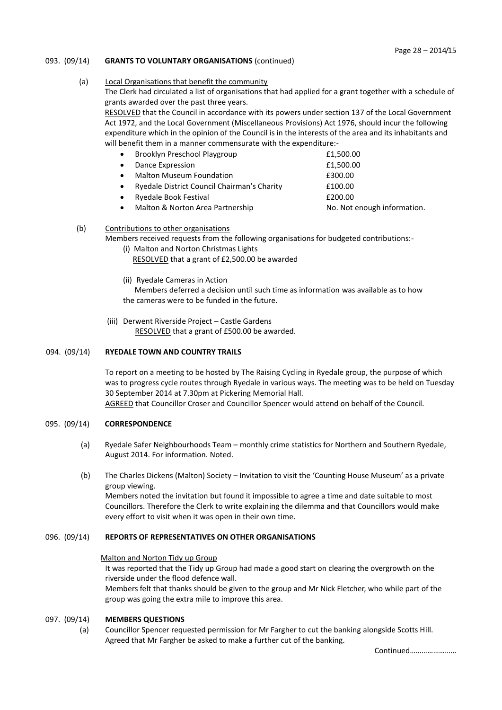# 093. (09/14) **GRANTS TO VOLUNTARY ORGANISATIONS** (continued)

## (a) Local Organisations that benefit the community

The Clerk had circulated a list of organisations that had applied for a grant together with a schedule of grants awarded over the past three years.

RESOLVED that the Council in accordance with its powers under section 137 of the Local Government Act 1972, and the Local Government (Miscellaneous Provisions) Act 1976, should incur the following expenditure which in the opinion of the Council is in the interests of the area and its inhabitants and will benefit them in a manner commensurate with the expenditure:-

| $\bullet$ | Brooklyn Preschool Playgroup                | £1,500.00                   |
|-----------|---------------------------------------------|-----------------------------|
| $\bullet$ | Dance Expression                            | £1,500.00                   |
| $\bullet$ | <b>Malton Museum Foundation</b>             | £300.00                     |
|           | Ryedale District Council Chairman's Charity | £100.00                     |
|           | Ryedale Book Festival                       | £200.00                     |
| $\bullet$ | Malton & Norton Area Partnership            | No. Not enough information. |

## (b) Contributions to other organisations

Members received requests from the following organisations for budgeted contributions:-

- (i) Malton and Norton Christmas Lights RESOLVED that a grant of £2,500.00 be awarded
- (ii) Ryedale Cameras in Action

 Members deferred a decision until such time as information was available as to how the cameras were to be funded in the future.

 (iii) Derwent Riverside Project – Castle Gardens RESOLVED that a grant of £500.00 be awarded.

# 094. (09/14) **RYEDALE TOWN AND COUNTRY TRAILS**

To report on a meeting to be hosted by The Raising Cycling in Ryedale group, the purpose of which was to progress cycle routes through Ryedale in various ways. The meeting was to be held on Tuesday 30 September 2014 at 7.30pm at Pickering Memorial Hall. AGREED that Councillor Croser and Councillor Spencer would attend on behalf of the Council.

# 095. (09/14) **CORRESPONDENCE**

- (a) Ryedale Safer Neighbourhoods Team monthly crime statistics for Northern and Southern Ryedale, August 2014. For information. Noted.
- (b) The Charles Dickens (Malton) Society Invitation to visit the 'Counting House Museum' as a private group viewing. Members noted the invitation but found it impossible to agree a time and date suitable to most Councillors. Therefore the Clerk to write explaining the dilemma and that Councillors would make every effort to visit when it was open in their own time.

### 096. (09/14) **REPORTS OF REPRESENTATIVES ON OTHER ORGANISATIONS**

### Malton and Norton Tidy up Group

It was reported that the Tidy up Group had made a good start on clearing the overgrowth on the riverside under the flood defence wall.

Members felt that thanks should be given to the group and Mr Nick Fletcher, who while part of the group was going the extra mile to improve this area.

### 097. (09/14) **MEMBERS QUESTIONS**

 (a) Councillor Spencer requested permission for Mr Fargher to cut the banking alongside Scotts Hill. Agreed that Mr Fargher be asked to make a further cut of the banking.